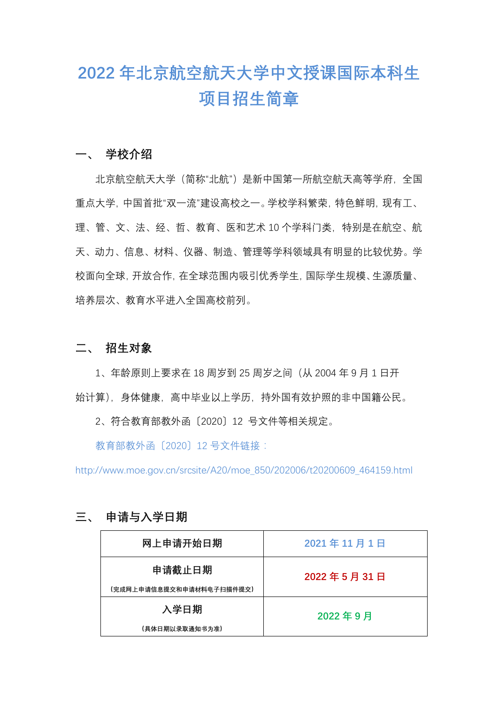# **2022 年北京航空航天大学中文授课国际本科生 项目招生简章**

#### **一、 学校介绍**

北京航空航天大学(简称"北航")是新中国第一所航空航天高等学府,全国 重点大学,中国首批"双一流"建设高校之一。学校学科繁荣,特色鲜明,现有工、 理、管、文、法、经、哲、教育、医和艺术 10 个学科门类,特别是在航空、航 天、动力、信息、材料、仪器、制造、管理等学科领域具有明显的比较优势。学 校面向全球,开放合作,在全球范围内吸引优秀学生,国际学生规模、生源质量、 培养层次、教育水平进入全国高校前列。

#### **二、 招生对象**

1、年龄原则上要求在 18 周岁到 25 周岁之间(从 2004 年 9 月 1 日开 始计算),身体健康,高中毕业以上学历,持外国有效护照的非中国籍公民。

2、符合教育部教外函〔2020〕12 号文件等相关规定。

教育部教外函〔2020〕12 号文件链接:

http://www.moe.gov.cn/srcsite/A20/moe\_850/202006/t20200609\_464159.html

| 网上申请开始日期                 | 2021年11月1日 |
|--------------------------|------------|
| 申请截止日期                   | 2022年5月31日 |
| (完成网上申请信息提交和申请材料电子扫描件提交) |            |
| 入学日期                     | 2022年9月    |
| (具体日期以录取通知书为准)           |            |

### **三、 申请与入学日期**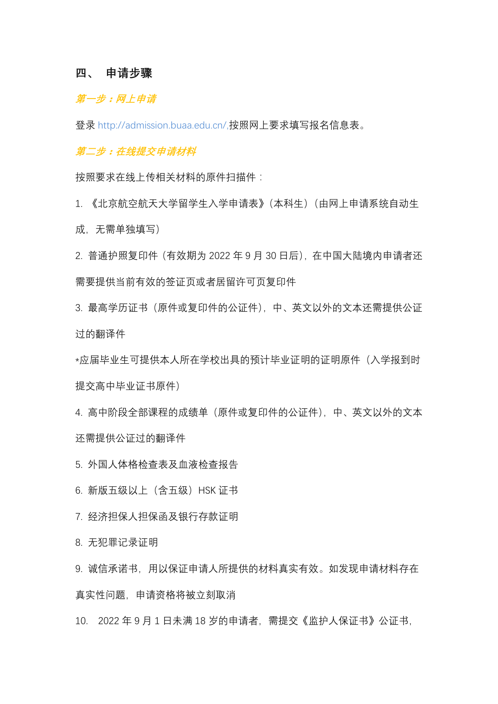#### **四、 申请步骤**

#### **第一步:网上申请**

登录 http://admission.buaa.edu.cn/,按照网上要求填写报名信息表。

**第二步:在线提交申请材料**

按照要求在线上传相关材料的原件扫描件:

1. 《北京航空航天大学留学生入学申请表》(本科生)(由网上申请系统自动生 成,无需单独填写)

2. 普通护照复印件(有效期为 2022 年 9 月 30 日后),在中国大陆境内申请者还 需要提供当前有效的签证页或者居留许可页复印件

3. 最高学历证书(原件或复印件的公证件),中、英文以外的文本还需提供公证 过的翻译件

\*应届毕业生可提供本人所在学校出具的预计毕业证明的证明原件(入学报到时 提交高中毕业证书原件)

4. 高中阶段全部课程的成绩单(原件或复印件的公证件),中、英文以外的文本 还需提供公证过的翻译件

5. 外国人体格检查表及血液检查报告

6. 新版五级以上(含五级)HSK 证书

7. 经济担保人担保函及银行存款证明

8. 无犯罪记录证明

9. 诚信承诺书, 用以保证申请人所提供的材料真实有效。如发现申请材料存在 真实性问题,申请资格将被立刻取消

10. 2022 年 9 月 1 日未满 18 岁的申请者,需提交《监护人保证书》公证书,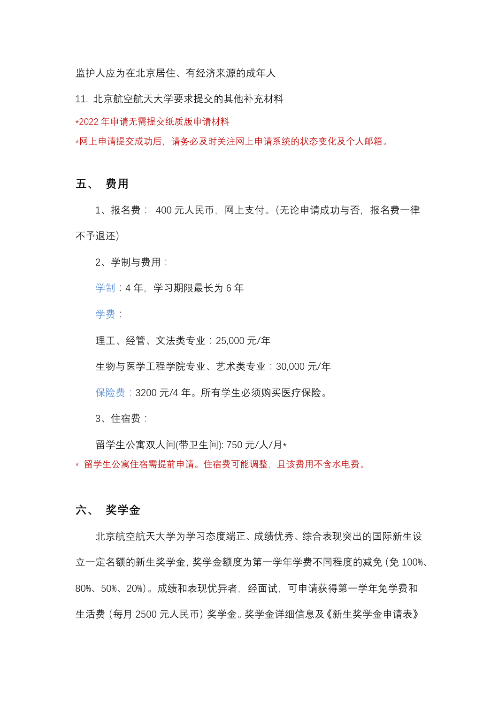监护人应为在北京居住、有经济来源的成年人

11. 北京航空航天大学要求提交的其他补充材料

\*2022 年申请无需提交纸质版申请材料

\*网上申请提交成功后,请务必及时关注网上申请系统的状态变化及个人邮箱。

#### **五、 费用**

1、报名费: 400 元人民币,网上支付。(无论申请成功与否,报名费一律 不予退还)

2、学制与费用:

学制:4年, 学习期限最长为6年

学费:

理工、经管、文法类专业:25,000 元/年

生物与医学工程学院专业、艺术类专业:30,000 元/年

保险费:3200 元/4 年。所有学生必须购买医疗保险。

3、住宿费:

留学生公寓双人间(带卫生间): 750 元/人/月\* \* 留学生公寓住宿需提前申请。住宿费可能调整,且该费用不含水电费。

#### **六、 奖学金**

北京航空航天大学为学习态度端正、成绩优秀、综合表现突出的国际新生设 立一定名额的新生奖学金,奖学金额度为第一学年学费不同程度的减免(免 100%、 80%、50%、20%)。成绩和表现优异者,经面试,可申请获得第一学年免学费和 生活费(每月 2500 元人民币)奖学金。奖学金详细信息及《新生奖学金申请表》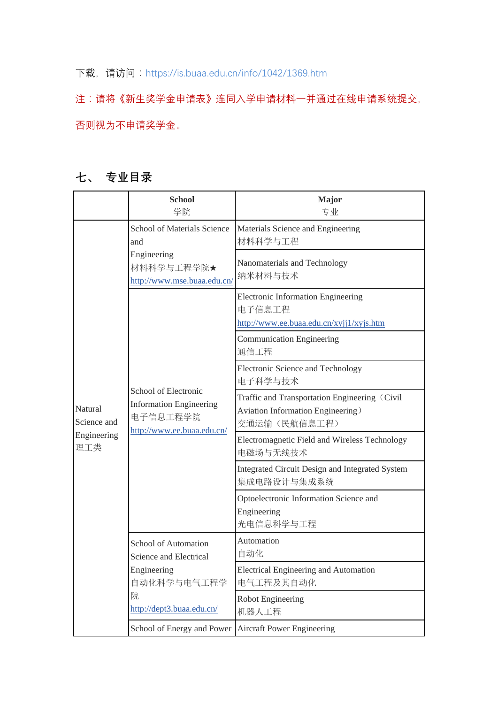## 下载, 请访问: https://is.buaa.edu.cn/info/1042/1369.htm

注:请将《新生奖学金申请表》连同入学申请材料一并通过在线申请系统提交, 否则视为不申请奖学金。

# **七、 专业目录**

|                                              | <b>School</b><br>学院                                                                              | Major<br>专业                                                                                        |
|----------------------------------------------|--------------------------------------------------------------------------------------------------|----------------------------------------------------------------------------------------------------|
| Natural<br>Science and<br>Engineering<br>理工类 | School of Materials Science<br>and<br>Engineering<br>材料科学与工程学院★<br>http://www.mse.buaa.edu.cn/   | Materials Science and Engineering<br>材料科学与工程                                                       |
|                                              |                                                                                                  | Nanomaterials and Technology<br>纳米材料与技术                                                            |
|                                              | School of Electronic<br><b>Information Engineering</b><br>电子信息工程学院<br>http://www.ee.buaa.edu.cn/ | Electronic Information Engineering<br>电子信息工程<br>http://www.ee.buaa.edu.cn/xyjj1/xyjs.htm           |
|                                              |                                                                                                  | Communication Engineering<br>通信工程                                                                  |
|                                              |                                                                                                  | Electronic Science and Technology<br>电子科学与技术                                                       |
|                                              |                                                                                                  | Traffic and Transportation Engineering (Civil<br>Aviation Information Engineering)<br>交通运输(民航信息工程) |
|                                              |                                                                                                  | Electromagnetic Field and Wireless Technology<br>电磁场与无线技术                                          |
|                                              |                                                                                                  | Integrated Circuit Design and Integrated System<br>集成电路设计与集成系统                                     |
|                                              |                                                                                                  | Optoelectronic Information Science and<br>Engineering<br>光电信息科学与工程                                 |
|                                              | School of Automation<br>Science and Electrical                                                   | Automation<br>自动化                                                                                  |
|                                              | Engineering<br>自动化科学与电气工程学<br>院<br>http://dept3.buaa.edu.cn/                                     | Electrical Engineering and Automation<br>电气工程及其自动化                                                 |
|                                              |                                                                                                  | Robot Engineering<br>机器人工程                                                                         |
|                                              | School of Energy and Power                                                                       | <b>Aircraft Power Engineering</b>                                                                  |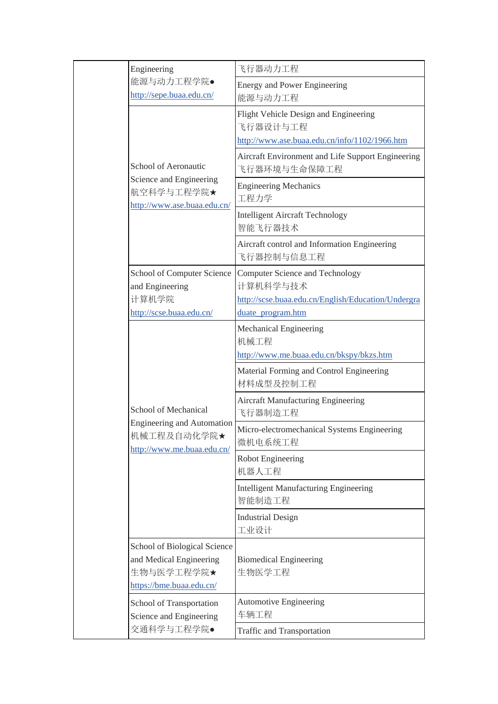|                                                                                                                                                                                                           | Engineering                                                                                  | 飞行器动力工程                                                                                                                                                 |
|-----------------------------------------------------------------------------------------------------------------------------------------------------------------------------------------------------------|----------------------------------------------------------------------------------------------|---------------------------------------------------------------------------------------------------------------------------------------------------------|
|                                                                                                                                                                                                           | 能源与动力工程学院●<br>http://sepe.buaa.edu.cn/                                                       | <b>Energy and Power Engineering</b><br>能源与动力工程                                                                                                          |
|                                                                                                                                                                                                           | School of Aeronautic<br>Science and Engineering<br>航空科学与工程学院★<br>http://www.ase.buaa.edu.cn/ | Flight Vehicle Design and Engineering<br>飞行器设计与工程<br>http://www.ase.buaa.edu.cn/info/1102/1966.htm<br>Aircraft Environment and Life Support Engineering |
|                                                                                                                                                                                                           |                                                                                              | 飞行器环境与生命保障工程<br><b>Engineering Mechanics</b><br>工程力学                                                                                                    |
|                                                                                                                                                                                                           |                                                                                              | <b>Intelligent Aircraft Technology</b><br>智能飞行器技术                                                                                                       |
|                                                                                                                                                                                                           |                                                                                              | Aircraft control and Information Engineering<br>飞行器控制与信息工程                                                                                              |
|                                                                                                                                                                                                           | School of Computer Science<br>and Engineering<br>计算机学院<br>http://scse.buaa.edu.cn/           | <b>Computer Science and Technology</b><br>计算机科学与技术<br>http://scse.buaa.edu.cn/English/Education/Undergra<br>duate program.htm                           |
|                                                                                                                                                                                                           | School of Mechanical                                                                         | Mechanical Engineering<br>机械工程<br>http://www.me.buaa.edu.cn/bkspy/bkzs.htm                                                                              |
|                                                                                                                                                                                                           |                                                                                              | Material Forming and Control Engineering<br>材料成型及控制工程                                                                                                   |
|                                                                                                                                                                                                           |                                                                                              | <b>Aircraft Manufacturing Engineering</b><br>飞行器制造工程                                                                                                    |
| <b>Engineering and Automation</b><br>http://www.me.buaa.edu.cn/<br>and Medical Engineering<br>生物与医学工程学院★<br>https://bme.buaa.edu.cn/<br>School of Transportation<br>Science and Engineering<br>交通科学与工程学院● | 机械工程及自动化学院★                                                                                  | Micro-electromechanical Systems Engineering<br>微机电系统工程                                                                                                  |
|                                                                                                                                                                                                           |                                                                                              | Robot Engineering<br>机器人工程                                                                                                                              |
|                                                                                                                                                                                                           |                                                                                              | <b>Intelligent Manufacturing Engineering</b><br>智能制造工程                                                                                                  |
|                                                                                                                                                                                                           |                                                                                              | <b>Industrial Design</b><br>工业设计                                                                                                                        |
|                                                                                                                                                                                                           | School of Biological Science                                                                 | <b>Biomedical Engineering</b><br>生物医学工程                                                                                                                 |
|                                                                                                                                                                                                           |                                                                                              | <b>Automotive Engineering</b><br>车辆工程                                                                                                                   |
|                                                                                                                                                                                                           |                                                                                              | Traffic and Transportation                                                                                                                              |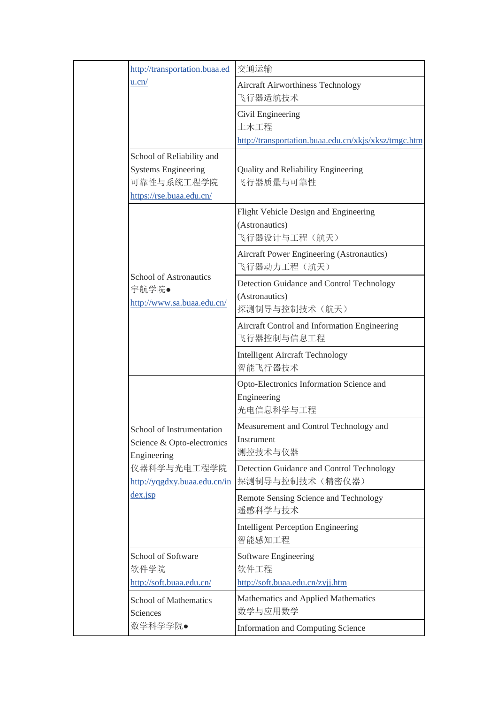|  | http://transportation.buaa.ed                                                                                                          | 交通运输                                                                              |
|--|----------------------------------------------------------------------------------------------------------------------------------------|-----------------------------------------------------------------------------------|
|  | u.cn/                                                                                                                                  | Aircraft Airworthiness Technology<br>飞行器适航技术                                      |
|  |                                                                                                                                        | Civil Engineering<br>土木工程<br>http://transportation.buaa.edu.cn/xkjs/xksz/tmgc.htm |
|  | School of Reliability and<br><b>Systems Engineering</b><br>可靠性与系统工程学院<br>https://rse.buaa.edu.cn/                                      | <b>Quality and Reliability Engineering</b><br>飞行器质量与可靠性                           |
|  | School of Astronautics<br>宇航学院●<br>http://www.sa.buaa.edu.cn/                                                                          | Flight Vehicle Design and Engineering<br>(Astronautics)<br>飞行器设计与工程(航天)           |
|  |                                                                                                                                        | <b>Aircraft Power Engineering (Astronautics)</b><br>飞行器动力工程(航天)                   |
|  |                                                                                                                                        | Detection Guidance and Control Technology<br>(Astronautics)<br>探测制导与控制技术(航天)      |
|  |                                                                                                                                        | Aircraft Control and Information Engineering<br>飞行器控制与信息工程                        |
|  |                                                                                                                                        | <b>Intelligent Aircraft Technology</b><br>智能飞行器技术                                 |
|  | School of Instrumentation<br>Science & Opto-electronics<br>Engineering<br>仪器科学与光电工程学院<br>http://yqgdxy.buaa.edu.cn/in<br>$dex$ . $isp$ | Opto-Electronics Information Science and<br>Engineering<br>光电信息科学与工程              |
|  |                                                                                                                                        | Measurement and Control Technology and<br>Instrument<br>测控技术与仪器                   |
|  |                                                                                                                                        | Detection Guidance and Control Technology<br>探测制导与控制技术(精密仪器)                      |
|  |                                                                                                                                        | Remote Sensing Science and Technology<br>遥感科学与技术                                  |
|  |                                                                                                                                        | <b>Intelligent Perception Engineering</b><br>智能感知工程                               |
|  | School of Software<br>软件学院                                                                                                             | Software Engineering<br>软件工程                                                      |
|  | http://soft.buaa.edu.cn/                                                                                                               | http://soft.buaa.edu.cn/zyjj.htm                                                  |
|  | <b>School of Mathematics</b><br>Sciences                                                                                               | Mathematics and Applied Mathematics<br>数学与应用数学                                    |
|  | 数学科学学院●                                                                                                                                | <b>Information and Computing Science</b>                                          |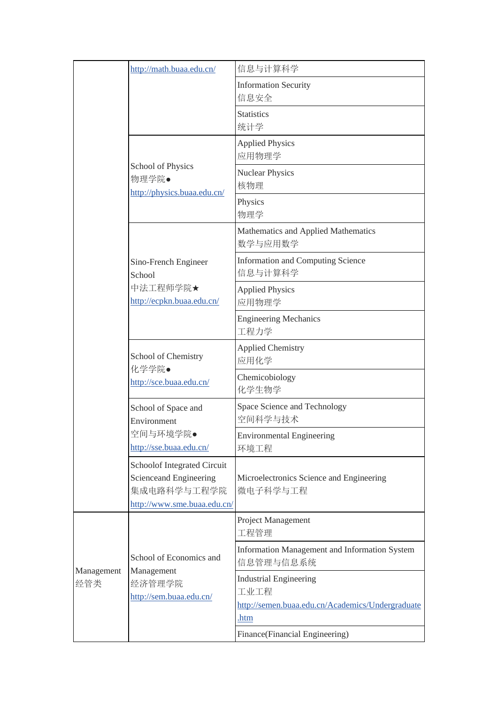|                                                                                                                                                                                                 | http://math.buaa.edu.cn/                                                   | 信息与计算科学                                                                                   |
|-------------------------------------------------------------------------------------------------------------------------------------------------------------------------------------------------|----------------------------------------------------------------------------|-------------------------------------------------------------------------------------------|
| School of Physics<br>物理学院●<br>http://physics.buaa.edu.cn/<br>Sino-French Engineer<br>School<br>中法工程师学院★<br>http://ecpkn.buaa.edu.cn/<br>School of Chemistry<br>化学学院●<br>http://sce.buaa.edu.cn/ |                                                                            | <b>Information Security</b><br>信息安全                                                       |
|                                                                                                                                                                                                 |                                                                            | <b>Statistics</b><br>统计学                                                                  |
|                                                                                                                                                                                                 |                                                                            | <b>Applied Physics</b><br>应用物理学                                                           |
|                                                                                                                                                                                                 |                                                                            | <b>Nuclear Physics</b><br>核物理                                                             |
|                                                                                                                                                                                                 |                                                                            | Physics<br>物理学                                                                            |
|                                                                                                                                                                                                 | Mathematics and Applied Mathematics<br>数学与应用数学                             |                                                                                           |
|                                                                                                                                                                                                 |                                                                            | <b>Information and Computing Science</b><br>信息与计算科学                                       |
|                                                                                                                                                                                                 |                                                                            | <b>Applied Physics</b><br>应用物理学                                                           |
|                                                                                                                                                                                                 |                                                                            | <b>Engineering Mechanics</b><br>工程力学                                                      |
|                                                                                                                                                                                                 | School of Space and<br>Environment                                         | <b>Applied Chemistry</b><br>应用化学                                                          |
|                                                                                                                                                                                                 |                                                                            | Chemicobiology<br>化学生物学                                                                   |
|                                                                                                                                                                                                 |                                                                            | Space Science and Technology<br>空间科学与技术                                                   |
| 空间与环境学院●<br>http://sse.buaa.edu.cn/<br>Schoolof Integrated Circuit<br>Scienceand Engineering<br>集成电路科学与工程学院                                                                                     | <b>Environmental Engineering</b><br>环境工程                                   |                                                                                           |
|                                                                                                                                                                                                 | http://www.sme.buaa.edu.cn/                                                | Microelectronics Science and Engineering<br>微电子科学与工程                                      |
| Management<br>经管类                                                                                                                                                                               | School of Economics and<br>Management<br>经济管理学院<br>http://sem.buaa.edu.cn/ | Project Management<br>工程管理                                                                |
|                                                                                                                                                                                                 |                                                                            | Information Management and Information System<br>信息管理与信息系统                                |
|                                                                                                                                                                                                 |                                                                            | <b>Industrial Engineering</b><br>工业工程<br>http://semen.buaa.edu.cn/Academics/Undergraduate |
|                                                                                                                                                                                                 |                                                                            | .htm                                                                                      |
|                                                                                                                                                                                                 |                                                                            | Finance(Financial Engineering)                                                            |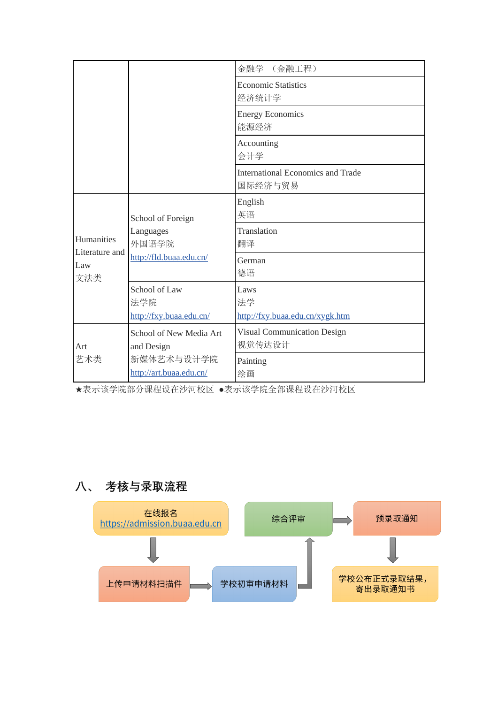|                                            |                                                                    | 金融学<br>(金融工程)                                       |
|--------------------------------------------|--------------------------------------------------------------------|-----------------------------------------------------|
|                                            |                                                                    | <b>Economic Statistics</b><br>经济统计学                 |
|                                            |                                                                    | <b>Energy Economics</b><br>能源经济                     |
|                                            |                                                                    | Accounting<br>会计学                                   |
|                                            |                                                                    | <b>International Economics and Trade</b><br>国际经济与贸易 |
| Humanities<br>Literature and<br>Law<br>文法类 | School of Foreign<br>Languages<br>外国语学院<br>http://fld.buaa.edu.cn/ | English<br>英语                                       |
|                                            |                                                                    | Translation<br>翻译                                   |
|                                            |                                                                    | German<br>德语                                        |
|                                            | School of Law<br>法学院                                               | Laws<br>法学                                          |
|                                            | http://fxy.buaa.edu.cn/                                            | http://fxy.buaa.edu.cn/xygk.htm                     |
| Art                                        | School of New Media Art<br>and Design                              | <b>Visual Communication Design</b><br>视觉传达设计        |
| 艺术类                                        | 新媒体艺术与设计学院<br>http://art.buaa.edu.cn/                              | Painting<br>绘画                                      |

★表示该学院部分课程设在沙河校区 ●表示该学院全部课程设在沙河校区

# **八、 考核与录取流程**